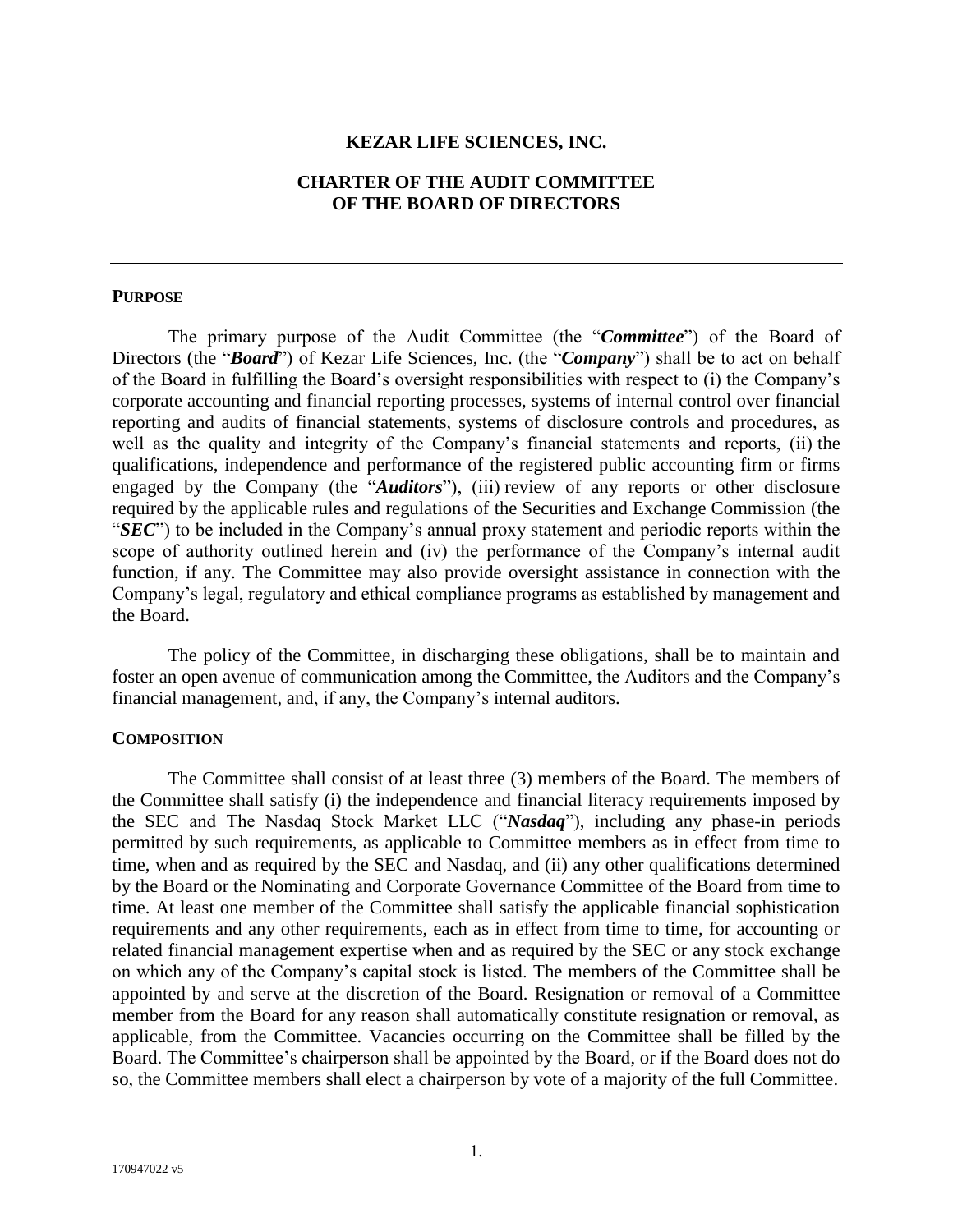## **KEZAR LIFE SCIENCES, INC.**

# **CHARTER OF THE AUDIT COMMITTEE OF THE BOARD OF DIRECTORS**

#### **PURPOSE**

The primary purpose of the Audit Committee (the "*Committee*") of the Board of Directors (the "*Board*") of Kezar Life Sciences, Inc. (the "*Company*") shall be to act on behalf of the Board in fulfilling the Board's oversight responsibilities with respect to (i) the Company's corporate accounting and financial reporting processes, systems of internal control over financial reporting and audits of financial statements, systems of disclosure controls and procedures, as well as the quality and integrity of the Company's financial statements and reports, (ii) the qualifications, independence and performance of the registered public accounting firm or firms engaged by the Company (the "*Auditors*"), (iii) review of any reports or other disclosure required by the applicable rules and regulations of the Securities and Exchange Commission (the "*SEC*") to be included in the Company's annual proxy statement and periodic reports within the scope of authority outlined herein and (iv) the performance of the Company's internal audit function, if any. The Committee may also provide oversight assistance in connection with the Company's legal, regulatory and ethical compliance programs as established by management and the Board.

The policy of the Committee, in discharging these obligations, shall be to maintain and foster an open avenue of communication among the Committee, the Auditors and the Company's financial management, and, if any, the Company's internal auditors.

### **COMPOSITION**

The Committee shall consist of at least three (3) members of the Board. The members of the Committee shall satisfy (i) the independence and financial literacy requirements imposed by the SEC and The Nasdaq Stock Market LLC ("*Nasdaq*"), including any phase-in periods permitted by such requirements, as applicable to Committee members as in effect from time to time, when and as required by the SEC and Nasdaq, and (ii) any other qualifications determined by the Board or the Nominating and Corporate Governance Committee of the Board from time to time. At least one member of the Committee shall satisfy the applicable financial sophistication requirements and any other requirements, each as in effect from time to time, for accounting or related financial management expertise when and as required by the SEC or any stock exchange on which any of the Company's capital stock is listed. The members of the Committee shall be appointed by and serve at the discretion of the Board. Resignation or removal of a Committee member from the Board for any reason shall automatically constitute resignation or removal, as applicable, from the Committee. Vacancies occurring on the Committee shall be filled by the Board. The Committee's chairperson shall be appointed by the Board, or if the Board does not do so, the Committee members shall elect a chairperson by vote of a majority of the full Committee.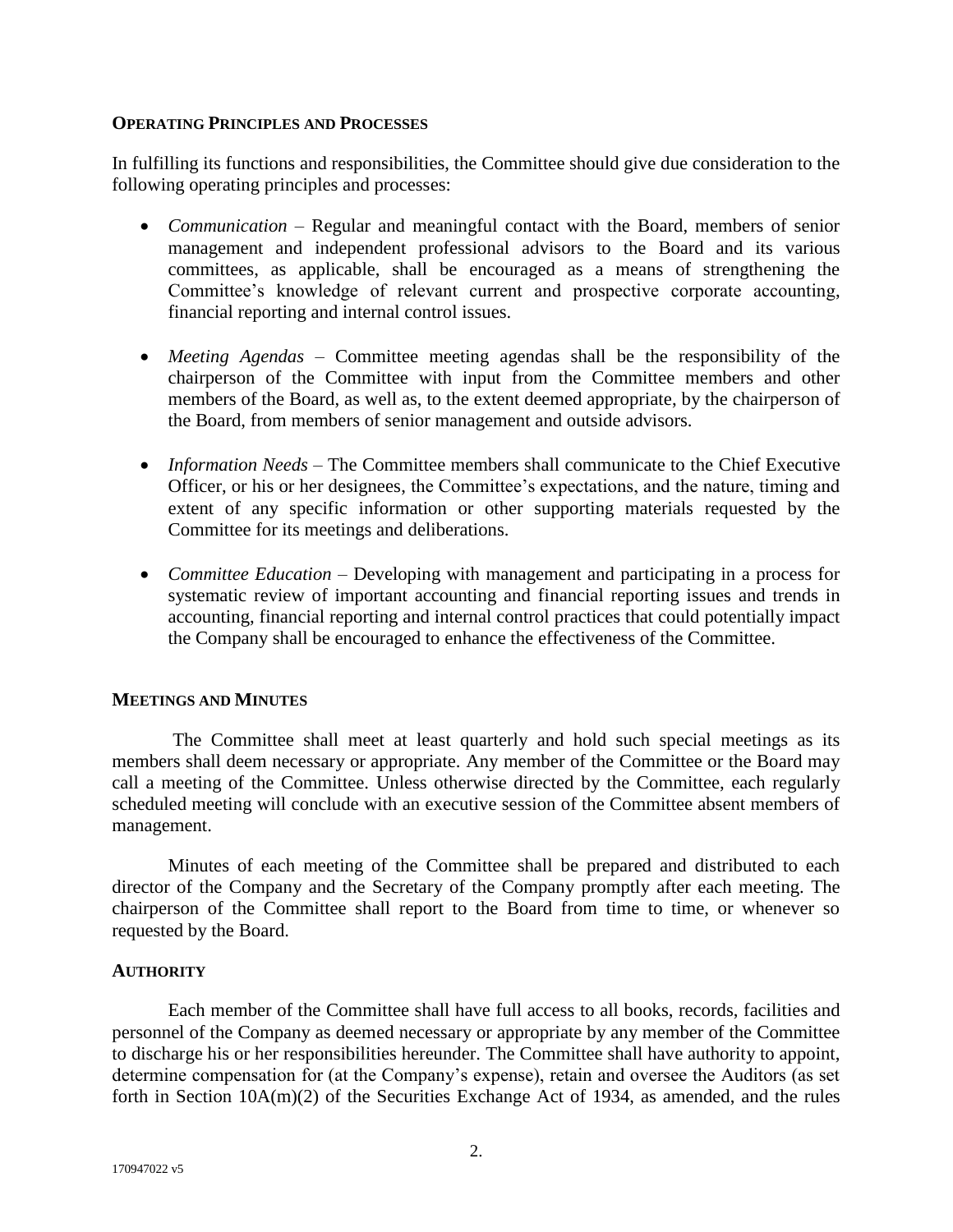## **OPERATING PRINCIPLES AND PROCESSES**

In fulfilling its functions and responsibilities, the Committee should give due consideration to the following operating principles and processes:

- *Communication* Regular and meaningful contact with the Board, members of senior management and independent professional advisors to the Board and its various committees, as applicable, shall be encouraged as a means of strengthening the Committee's knowledge of relevant current and prospective corporate accounting, financial reporting and internal control issues.
- *Meeting Agendas* Committee meeting agendas shall be the responsibility of the chairperson of the Committee with input from the Committee members and other members of the Board, as well as, to the extent deemed appropriate, by the chairperson of the Board, from members of senior management and outside advisors.
- *Information Needs* The Committee members shall communicate to the Chief Executive Officer, or his or her designees, the Committee's expectations, and the nature, timing and extent of any specific information or other supporting materials requested by the Committee for its meetings and deliberations.
- *Committee Education* Developing with management and participating in a process for systematic review of important accounting and financial reporting issues and trends in accounting, financial reporting and internal control practices that could potentially impact the Company shall be encouraged to enhance the effectiveness of the Committee.

# **MEETINGS AND MINUTES**

The Committee shall meet at least quarterly and hold such special meetings as its members shall deem necessary or appropriate. Any member of the Committee or the Board may call a meeting of the Committee. Unless otherwise directed by the Committee, each regularly scheduled meeting will conclude with an executive session of the Committee absent members of management.

Minutes of each meeting of the Committee shall be prepared and distributed to each director of the Company and the Secretary of the Company promptly after each meeting. The chairperson of the Committee shall report to the Board from time to time, or whenever so requested by the Board.

# **AUTHORITY**

Each member of the Committee shall have full access to all books, records, facilities and personnel of the Company as deemed necessary or appropriate by any member of the Committee to discharge his or her responsibilities hereunder. The Committee shall have authority to appoint, determine compensation for (at the Company's expense), retain and oversee the Auditors (as set forth in Section 10A(m)(2) of the Securities Exchange Act of 1934, as amended, and the rules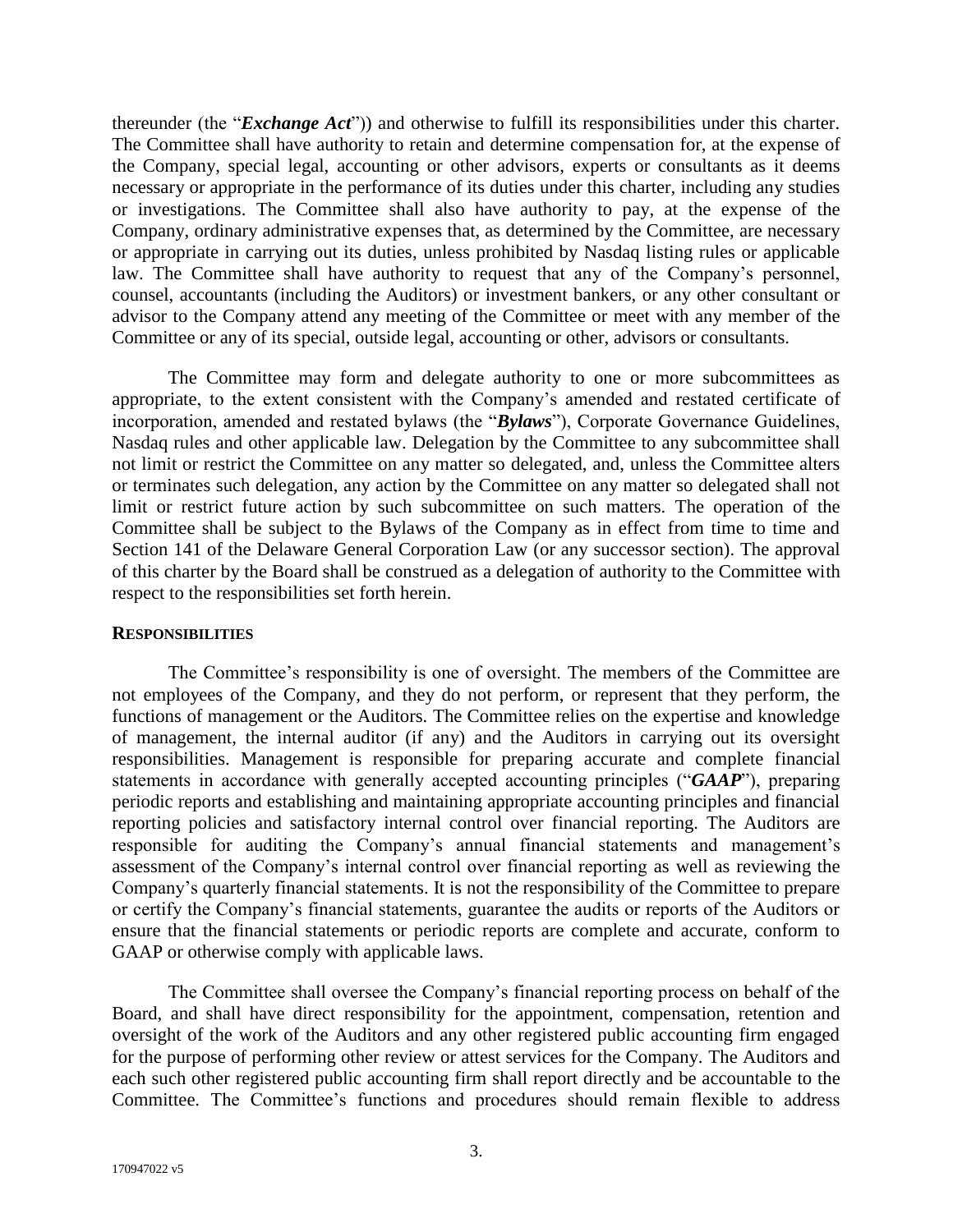thereunder (the "*Exchange Act*")) and otherwise to fulfill its responsibilities under this charter. The Committee shall have authority to retain and determine compensation for, at the expense of the Company, special legal, accounting or other advisors, experts or consultants as it deems necessary or appropriate in the performance of its duties under this charter, including any studies or investigations. The Committee shall also have authority to pay, at the expense of the Company, ordinary administrative expenses that, as determined by the Committee, are necessary or appropriate in carrying out its duties, unless prohibited by Nasdaq listing rules or applicable law. The Committee shall have authority to request that any of the Company's personnel, counsel, accountants (including the Auditors) or investment bankers, or any other consultant or advisor to the Company attend any meeting of the Committee or meet with any member of the Committee or any of its special, outside legal, accounting or other, advisors or consultants.

The Committee may form and delegate authority to one or more subcommittees as appropriate, to the extent consistent with the Company's amended and restated certificate of incorporation, amended and restated bylaws (the "*Bylaws*"), Corporate Governance Guidelines, Nasdaq rules and other applicable law. Delegation by the Committee to any subcommittee shall not limit or restrict the Committee on any matter so delegated, and, unless the Committee alters or terminates such delegation, any action by the Committee on any matter so delegated shall not limit or restrict future action by such subcommittee on such matters. The operation of the Committee shall be subject to the Bylaws of the Company as in effect from time to time and Section 141 of the Delaware General Corporation Law (or any successor section). The approval of this charter by the Board shall be construed as a delegation of authority to the Committee with respect to the responsibilities set forth herein.

#### **RESPONSIBILITIES**

The Committee's responsibility is one of oversight. The members of the Committee are not employees of the Company, and they do not perform, or represent that they perform, the functions of management or the Auditors. The Committee relies on the expertise and knowledge of management, the internal auditor (if any) and the Auditors in carrying out its oversight responsibilities. Management is responsible for preparing accurate and complete financial statements in accordance with generally accepted accounting principles ("*GAAP*"), preparing periodic reports and establishing and maintaining appropriate accounting principles and financial reporting policies and satisfactory internal control over financial reporting. The Auditors are responsible for auditing the Company's annual financial statements and management's assessment of the Company's internal control over financial reporting as well as reviewing the Company's quarterly financial statements. It is not the responsibility of the Committee to prepare or certify the Company's financial statements, guarantee the audits or reports of the Auditors or ensure that the financial statements or periodic reports are complete and accurate, conform to GAAP or otherwise comply with applicable laws.

The Committee shall oversee the Company's financial reporting process on behalf of the Board, and shall have direct responsibility for the appointment, compensation, retention and oversight of the work of the Auditors and any other registered public accounting firm engaged for the purpose of performing other review or attest services for the Company. The Auditors and each such other registered public accounting firm shall report directly and be accountable to the Committee. The Committee's functions and procedures should remain flexible to address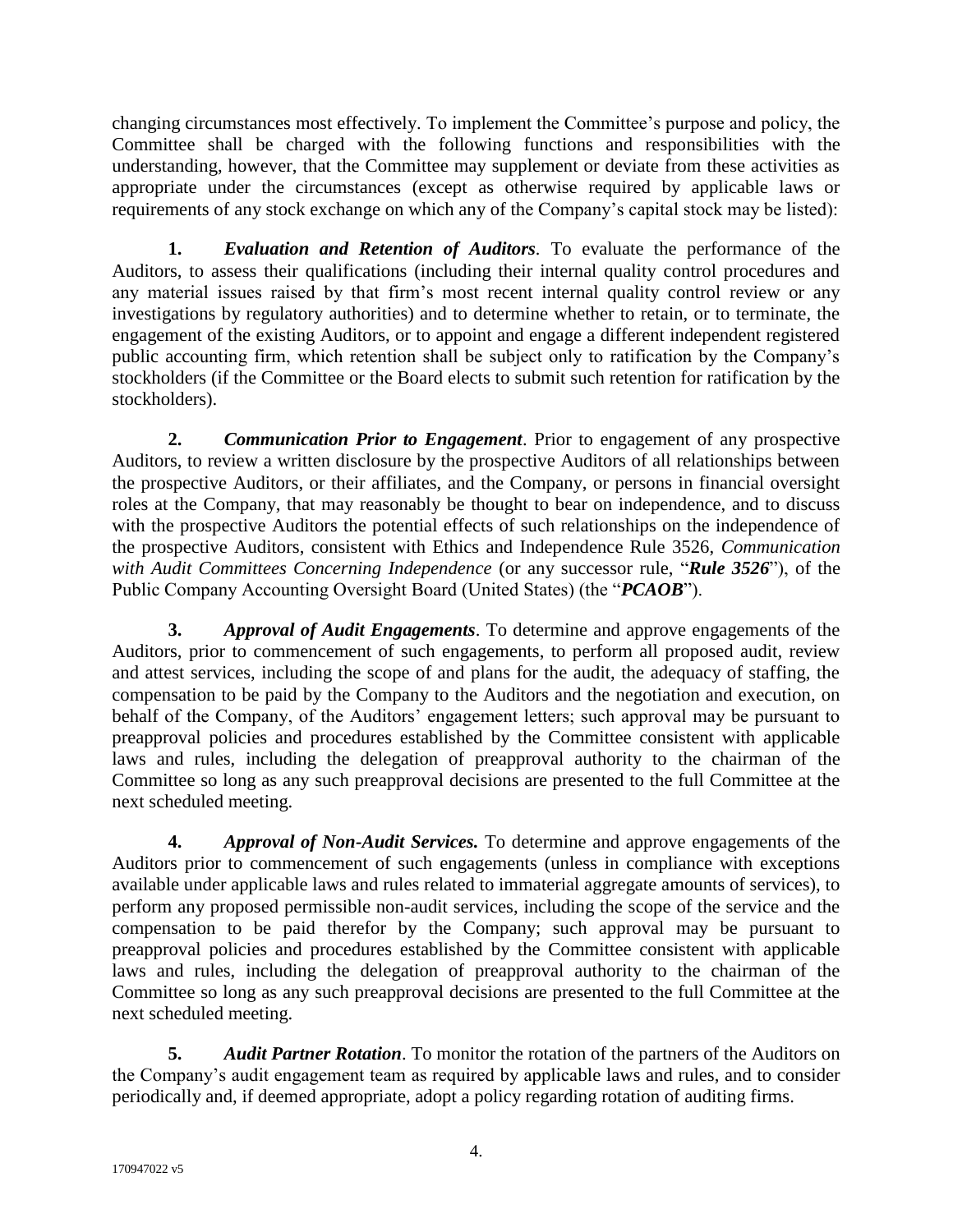changing circumstances most effectively. To implement the Committee's purpose and policy, the Committee shall be charged with the following functions and responsibilities with the understanding, however, that the Committee may supplement or deviate from these activities as appropriate under the circumstances (except as otherwise required by applicable laws or requirements of any stock exchange on which any of the Company's capital stock may be listed):

**1.** *Evaluation and Retention of Auditors.* To evaluate the performance of the Auditors, to assess their qualifications (including their internal quality control procedures and any material issues raised by that firm's most recent internal quality control review or any investigations by regulatory authorities) and to determine whether to retain, or to terminate, the engagement of the existing Auditors, or to appoint and engage a different independent registered public accounting firm, which retention shall be subject only to ratification by the Company's stockholders (if the Committee or the Board elects to submit such retention for ratification by the stockholders).

**2.** *Communication Prior to Engagement*. Prior to engagement of any prospective Auditors, to review a written disclosure by the prospective Auditors of all relationships between the prospective Auditors, or their affiliates, and the Company, or persons in financial oversight roles at the Company, that may reasonably be thought to bear on independence, and to discuss with the prospective Auditors the potential effects of such relationships on the independence of the prospective Auditors, consistent with Ethics and Independence Rule 3526, *Communication with Audit Committees Concerning Independence* (or any successor rule, "*Rule 3526*"), of the Public Company Accounting Oversight Board (United States) (the "*PCAOB*").

**3.** *Approval of Audit Engagements*. To determine and approve engagements of the Auditors, prior to commencement of such engagements, to perform all proposed audit, review and attest services, including the scope of and plans for the audit, the adequacy of staffing, the compensation to be paid by the Company to the Auditors and the negotiation and execution, on behalf of the Company, of the Auditors' engagement letters; such approval may be pursuant to preapproval policies and procedures established by the Committee consistent with applicable laws and rules, including the delegation of preapproval authority to the chairman of the Committee so long as any such preapproval decisions are presented to the full Committee at the next scheduled meeting.

**4.** *Approval of Non-Audit Services.* To determine and approve engagements of the Auditors prior to commencement of such engagements (unless in compliance with exceptions available under applicable laws and rules related to immaterial aggregate amounts of services), to perform any proposed permissible non-audit services, including the scope of the service and the compensation to be paid therefor by the Company; such approval may be pursuant to preapproval policies and procedures established by the Committee consistent with applicable laws and rules, including the delegation of preapproval authority to the chairman of the Committee so long as any such preapproval decisions are presented to the full Committee at the next scheduled meeting.

**5.** *Audit Partner Rotation*. To monitor the rotation of the partners of the Auditors on the Company's audit engagement team as required by applicable laws and rules, and to consider periodically and, if deemed appropriate, adopt a policy regarding rotation of auditing firms.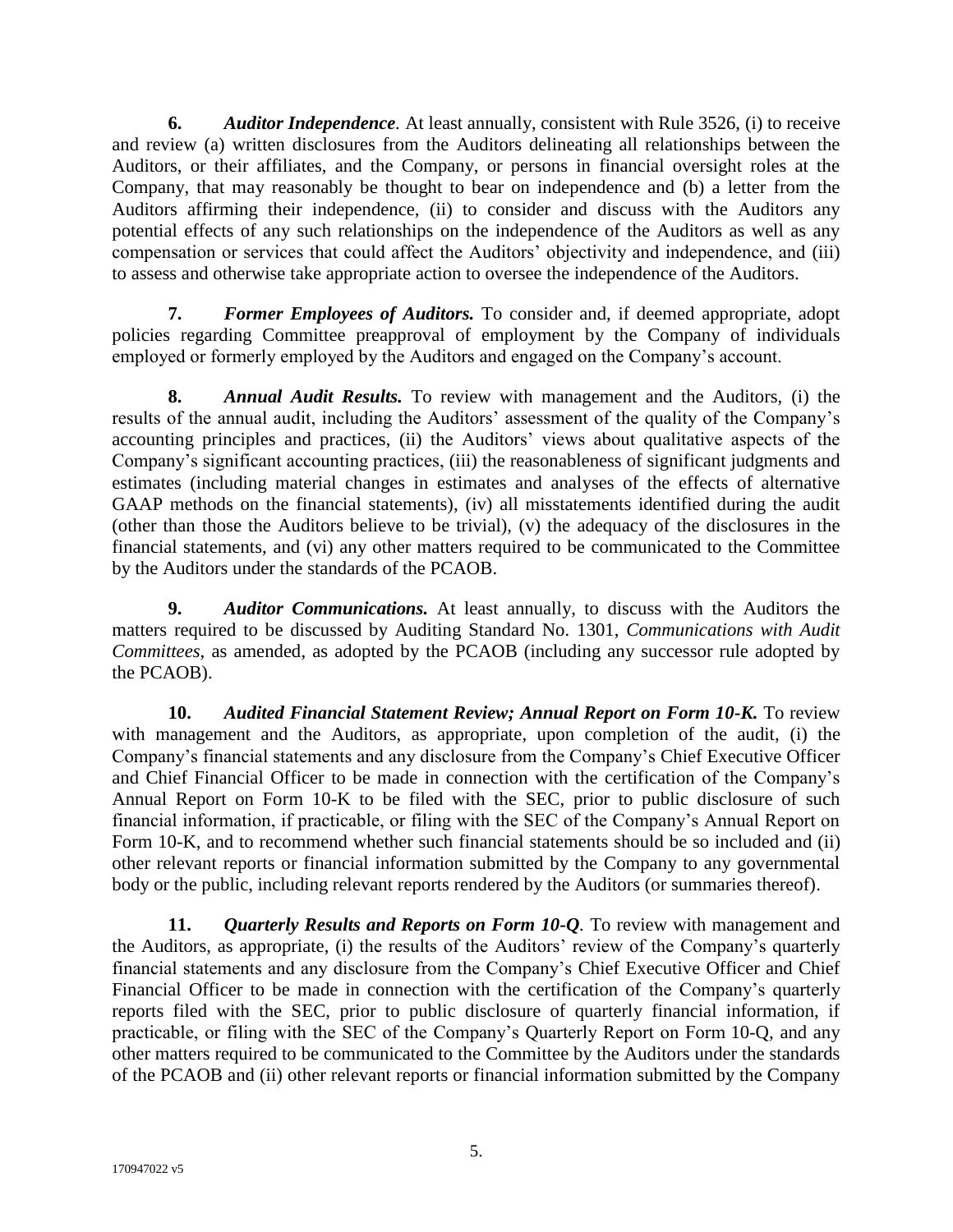**6.** *Auditor Independence.* At least annually, consistent with Rule 3526, (i) to receive and review (a) written disclosures from the Auditors delineating all relationships between the Auditors, or their affiliates, and the Company, or persons in financial oversight roles at the Company, that may reasonably be thought to bear on independence and (b) a letter from the Auditors affirming their independence, (ii) to consider and discuss with the Auditors any potential effects of any such relationships on the independence of the Auditors as well as any compensation or services that could affect the Auditors' objectivity and independence, and (iii) to assess and otherwise take appropriate action to oversee the independence of the Auditors.

**7.** *Former Employees of Auditors.* To consider and, if deemed appropriate, adopt policies regarding Committee preapproval of employment by the Company of individuals employed or formerly employed by the Auditors and engaged on the Company's account.

**8.** *Annual Audit Results.* To review with management and the Auditors, (i) the results of the annual audit, including the Auditors' assessment of the quality of the Company's accounting principles and practices, (ii) the Auditors' views about qualitative aspects of the Company's significant accounting practices, (iii) the reasonableness of significant judgments and estimates (including material changes in estimates and analyses of the effects of alternative GAAP methods on the financial statements), (iv) all misstatements identified during the audit (other than those the Auditors believe to be trivial), (v) the adequacy of the disclosures in the financial statements, and (vi) any other matters required to be communicated to the Committee by the Auditors under the standards of the PCAOB.

**9.** *Auditor Communications.* At least annually, to discuss with the Auditors the matters required to be discussed by Auditing Standard No. 1301, *Communications with Audit Committees*, as amended, as adopted by the PCAOB (including any successor rule adopted by the PCAOB).

**10.** *Audited Financial Statement Review; Annual Report on Form 10-K.* To review with management and the Auditors, as appropriate, upon completion of the audit, (i) the Company's financial statements and any disclosure from the Company's Chief Executive Officer and Chief Financial Officer to be made in connection with the certification of the Company's Annual Report on Form 10-K to be filed with the SEC, prior to public disclosure of such financial information, if practicable, or filing with the SEC of the Company's Annual Report on Form 10-K, and to recommend whether such financial statements should be so included and (ii) other relevant reports or financial information submitted by the Company to any governmental body or the public, including relevant reports rendered by the Auditors (or summaries thereof).

**11.** *Quarterly Results and Reports on Form 10-Q.* To review with management and the Auditors, as appropriate, (i) the results of the Auditors' review of the Company's quarterly financial statements and any disclosure from the Company's Chief Executive Officer and Chief Financial Officer to be made in connection with the certification of the Company's quarterly reports filed with the SEC, prior to public disclosure of quarterly financial information, if practicable, or filing with the SEC of the Company's Quarterly Report on Form 10-Q, and any other matters required to be communicated to the Committee by the Auditors under the standards of the PCAOB and (ii) other relevant reports or financial information submitted by the Company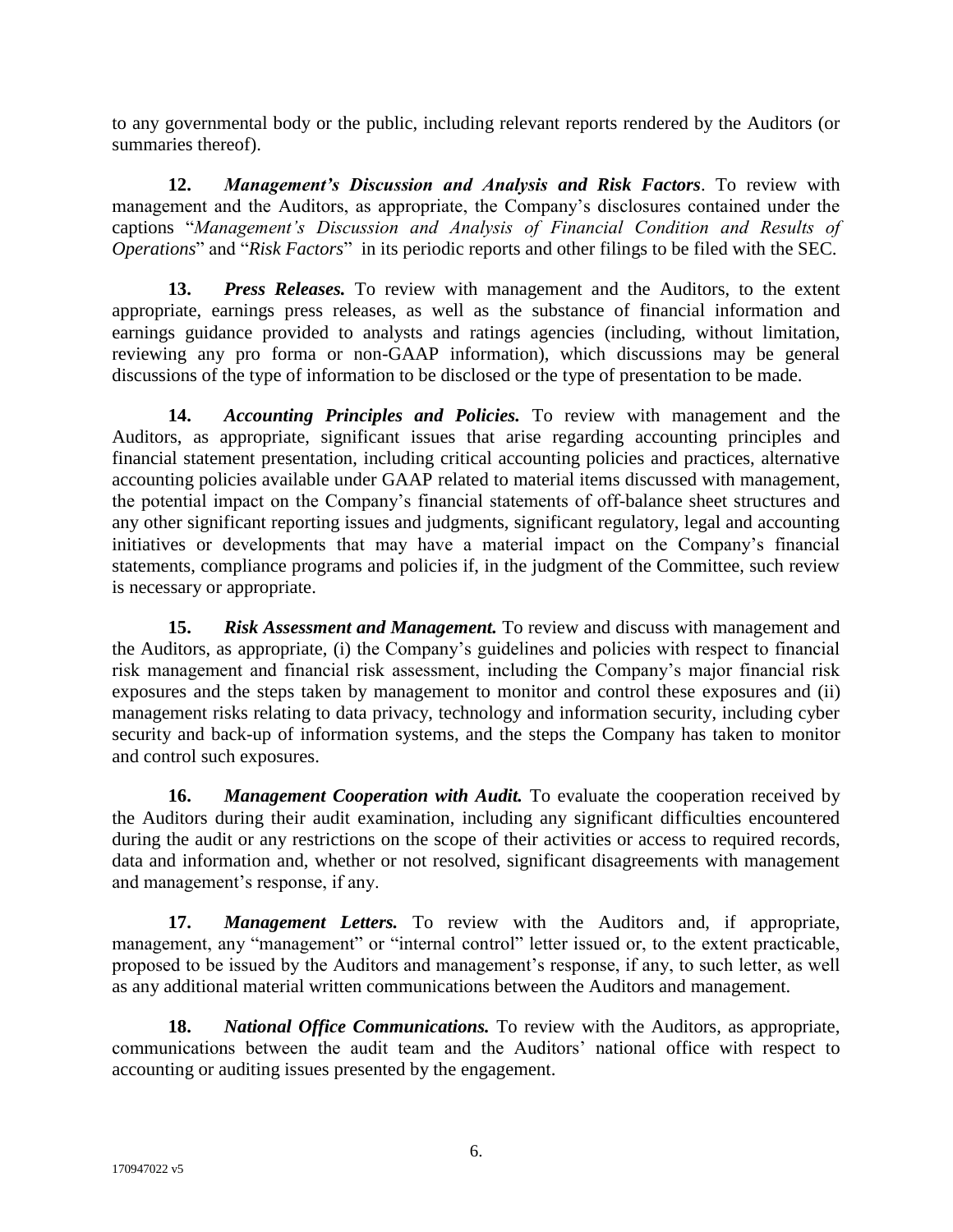to any governmental body or the public, including relevant reports rendered by the Auditors (or summaries thereof).

**12.** *Management's Discussion and Analysis and Risk Factors*. To review with management and the Auditors, as appropriate, the Company's disclosures contained under the captions "*Management's Discussion and Analysis of Financial Condition and Results of Operations*" and "*Risk Factors*" in its periodic reports and other filings to be filed with the SEC.

**13.** *Press Releases.* To review with management and the Auditors, to the extent appropriate, earnings press releases, as well as the substance of financial information and earnings guidance provided to analysts and ratings agencies (including, without limitation, reviewing any pro forma or non-GAAP information), which discussions may be general discussions of the type of information to be disclosed or the type of presentation to be made.

**14.** *Accounting Principles and Policies.* To review with management and the Auditors, as appropriate, significant issues that arise regarding accounting principles and financial statement presentation, including critical accounting policies and practices, alternative accounting policies available under GAAP related to material items discussed with management, the potential impact on the Company's financial statements of off-balance sheet structures and any other significant reporting issues and judgments, significant regulatory, legal and accounting initiatives or developments that may have a material impact on the Company's financial statements, compliance programs and policies if, in the judgment of the Committee, such review is necessary or appropriate.

**15.** *Risk Assessment and Management.* To review and discuss with management and the Auditors, as appropriate, (i) the Company's guidelines and policies with respect to financial risk management and financial risk assessment, including the Company's major financial risk exposures and the steps taken by management to monitor and control these exposures and (ii) management risks relating to data privacy, technology and information security, including cyber security and back-up of information systems, and the steps the Company has taken to monitor and control such exposures.

**16.** *Management Cooperation with Audit.* To evaluate the cooperation received by the Auditors during their audit examination, including any significant difficulties encountered during the audit or any restrictions on the scope of their activities or access to required records, data and information and, whether or not resolved, significant disagreements with management and management's response, if any.

**17.** *Management Letters.* To review with the Auditors and, if appropriate, management, any "management" or "internal control" letter issued or, to the extent practicable, proposed to be issued by the Auditors and management's response, if any, to such letter, as well as any additional material written communications between the Auditors and management.

**18.** *National Office Communications.* To review with the Auditors, as appropriate, communications between the audit team and the Auditors' national office with respect to accounting or auditing issues presented by the engagement.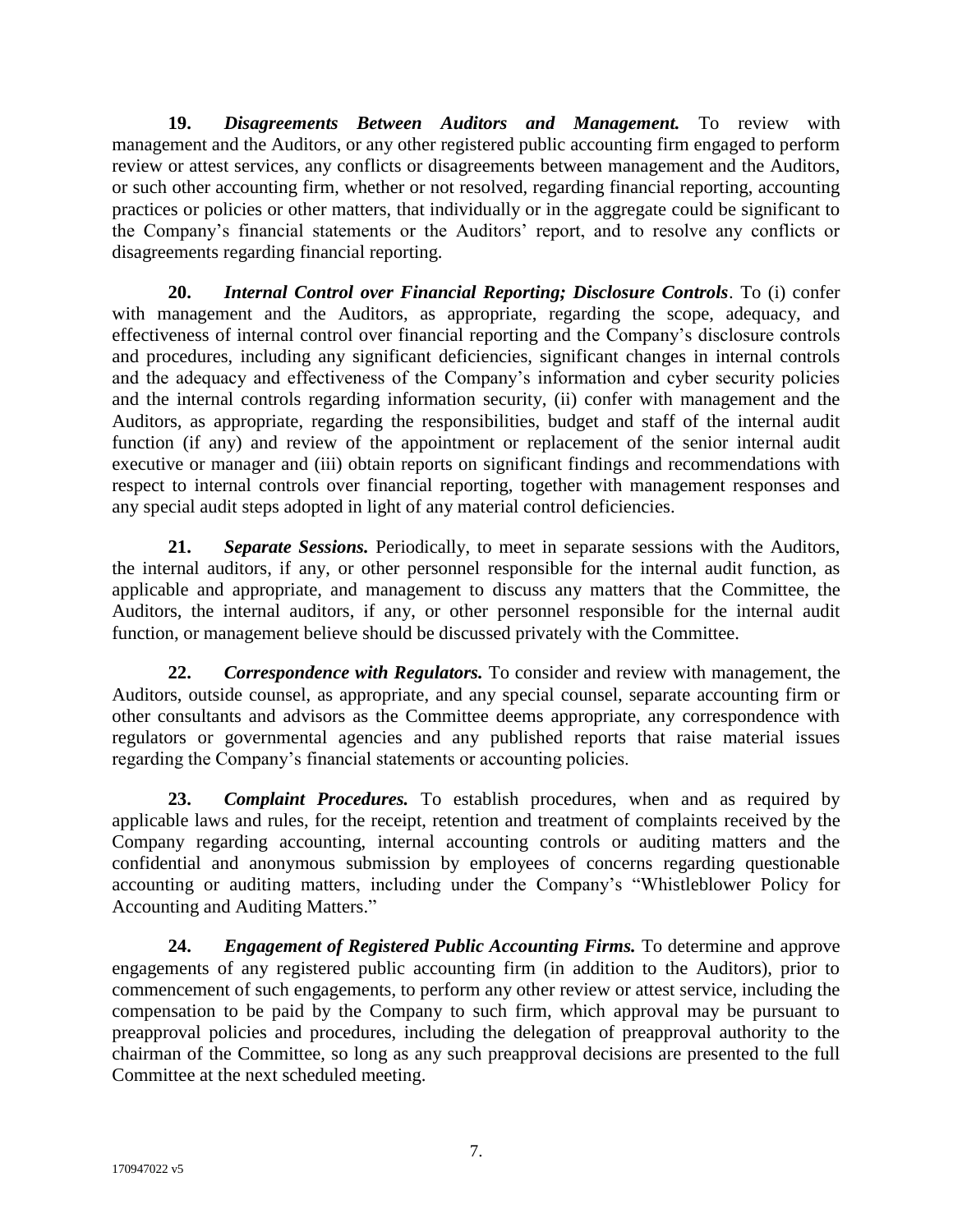**19.** *Disagreements Between Auditors and Management.* To review with management and the Auditors, or any other registered public accounting firm engaged to perform review or attest services, any conflicts or disagreements between management and the Auditors, or such other accounting firm, whether or not resolved, regarding financial reporting, accounting practices or policies or other matters, that individually or in the aggregate could be significant to the Company's financial statements or the Auditors' report, and to resolve any conflicts or disagreements regarding financial reporting.

**20.** *Internal Control over Financial Reporting; Disclosure Controls*. To (i) confer with management and the Auditors, as appropriate, regarding the scope, adequacy, and effectiveness of internal control over financial reporting and the Company's disclosure controls and procedures, including any significant deficiencies, significant changes in internal controls and the adequacy and effectiveness of the Company's information and cyber security policies and the internal controls regarding information security, (ii) confer with management and the Auditors, as appropriate, regarding the responsibilities, budget and staff of the internal audit function (if any) and review of the appointment or replacement of the senior internal audit executive or manager and (iii) obtain reports on significant findings and recommendations with respect to internal controls over financial reporting, together with management responses and any special audit steps adopted in light of any material control deficiencies.

**21.** *Separate Sessions.* Periodically, to meet in separate sessions with the Auditors, the internal auditors, if any, or other personnel responsible for the internal audit function, as applicable and appropriate, and management to discuss any matters that the Committee, the Auditors, the internal auditors, if any, or other personnel responsible for the internal audit function, or management believe should be discussed privately with the Committee.

**22.** *Correspondence with Regulators.* To consider and review with management, the Auditors, outside counsel, as appropriate, and any special counsel, separate accounting firm or other consultants and advisors as the Committee deems appropriate, any correspondence with regulators or governmental agencies and any published reports that raise material issues regarding the Company's financial statements or accounting policies.

**23.** *Complaint Procedures.* To establish procedures, when and as required by applicable laws and rules, for the receipt, retention and treatment of complaints received by the Company regarding accounting, internal accounting controls or auditing matters and the confidential and anonymous submission by employees of concerns regarding questionable accounting or auditing matters, including under the Company's "Whistleblower Policy for Accounting and Auditing Matters."

**24.** *Engagement of Registered Public Accounting Firms.* To determine and approve engagements of any registered public accounting firm (in addition to the Auditors), prior to commencement of such engagements, to perform any other review or attest service, including the compensation to be paid by the Company to such firm, which approval may be pursuant to preapproval policies and procedures, including the delegation of preapproval authority to the chairman of the Committee, so long as any such preapproval decisions are presented to the full Committee at the next scheduled meeting.